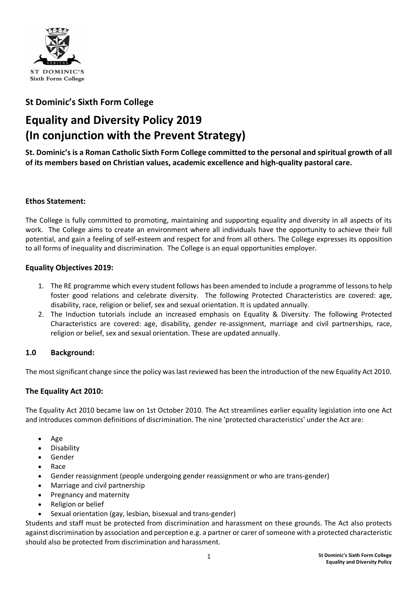

# **St Dominic's Sixth Form College**

# **Equality and Diversity Policy 2019 (In conjunction with the Prevent Strategy)**

**St. Dominic's is a Roman Catholic Sixth Form College committed to the personal and spiritual growth of all of its members based on Christian values, academic excellence and high-quality pastoral care.**

# **Ethos Statement:**

The College is fully committed to promoting, maintaining and supporting equality and diversity in all aspects of its work. The College aims to create an environment where all individuals have the opportunity to achieve their full potential, and gain a feeling of self-esteem and respect for and from all others. The College expresses its opposition to all forms of inequality and discrimination. The College is an equal opportunities employer.

# **Equality Objectives 2019:**

- 1. The RE programme which every student follows has been amended to include a programme of lessons to help foster good relations and celebrate diversity. The following Protected Characteristics are covered: age, disability, race, religion or belief, sex and sexual orientation. It is updated annually.
- 2. The Induction tutorials include an increased emphasis on Equality & Diversity. The following Protected Characteristics are covered: age, disability, gender re-assignment, marriage and civil partnerships, race, religion or belief, sex and sexual orientation. These are updated annually.

# **1.0 Background:**

The most significant change since the policy was last reviewed has been the introduction of the new Equality Act 2010.

# **The Equality Act 2010:**

The Equality Act 2010 became law on 1st October 2010. The Act streamlines earlier equality legislation into one Act and introduces common definitions of discrimination. The nine 'protected characteristics' under the Act are:

- Age
- **Disability**
- Gender
- Race
- Gender reassignment (people undergoing gender reassignment or who are trans-gender)
- Marriage and civil partnership
- Pregnancy and maternity
- Religion or belief
- Sexual orientation (gay, lesbian, bisexual and trans-gender)

Students and staff must be protected from discrimination and harassment on these grounds. The Act also protects against discrimination by association and perception e.g. a partner or carer of someone with a protected characteristic should also be protected from discrimination and harassment.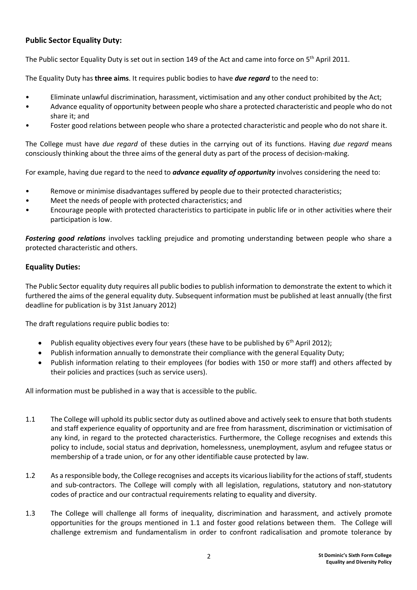# **Public Sector Equality Duty:**

The Public sector Equality Duty is set out in section 149 of the Act and came into force on 5<sup>th</sup> April 2011.

The Equality Duty has **three aims**. It requires public bodies to have *due regard* to the need to:

- Eliminate unlawful discrimination, harassment, victimisation and any other conduct prohibited by the Act;
- Advance equality of opportunity between people who share a protected characteristic and people who do not share it; and
- Foster good relations between people who share a protected characteristic and people who do not share it.

The College must have *due regard* of these duties in the carrying out of its functions. Having *due regard* means consciously thinking about the three aims of the general duty as part of the process of decision-making.

For example, having due regard to the need to *advance equality of opportunity* involves considering the need to:

- Remove or minimise disadvantages suffered by people due to their protected characteristics;
- Meet the needs of people with protected characteristics; and
- Encourage people with protected characteristics to participate in public life or in other activities where their participation is low.

*Fostering good relations* involves tackling prejudice and promoting understanding between people who share a protected characteristic and others.

#### **Equality Duties:**

The Public Sector equality duty requires all public bodies to publish information to demonstrate the extent to which it furthered the aims of the general equality duty. Subsequent information must be published at least annually (the first deadline for publication is by 31st January 2012)

The draft regulations require public bodies to:

- Publish equality objectives every four years (these have to be published by  $6<sup>th</sup>$  April 2012);
- Publish information annually to demonstrate their compliance with the general Equality Duty;
- Publish information relating to their employees (for bodies with 150 or more staff) and others affected by their policies and practices (such as service users).

All information must be published in a way that is accessible to the public.

- 1.1 The College will uphold its public sector duty as outlined above and actively seek to ensure that both students and staff experience equality of opportunity and are free from harassment, discrimination or victimisation of any kind, in regard to the protected characteristics. Furthermore, the College recognises and extends this policy to include, social status and deprivation, homelessness, unemployment, asylum and refugee status or membership of a trade union, or for any other identifiable cause protected by law.
- 1.2 As a responsible body, the College recognises and accepts its vicarious liability for the actions of staff, students and sub-contractors. The College will comply with all legislation, regulations, statutory and non-statutory codes of practice and our contractual requirements relating to equality and diversity.
- 1.3 The College will challenge all forms of inequality, discrimination and harassment, and actively promote opportunities for the groups mentioned in 1.1 and foster good relations between them. The College will challenge extremism and fundamentalism in order to confront radicalisation and promote tolerance by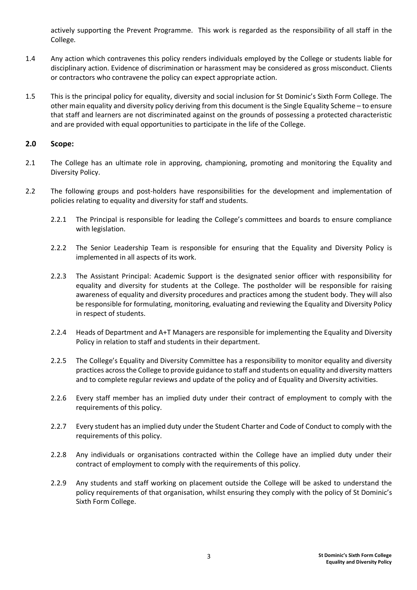actively supporting the Prevent Programme. This work is regarded as the responsibility of all staff in the College.

- 1.4 Any action which contravenes this policy renders individuals employed by the College or students liable for disciplinary action. Evidence of discrimination or harassment may be considered as gross misconduct. Clients or contractors who contravene the policy can expect appropriate action.
- 1.5 This is the principal policy for equality, diversity and social inclusion for St Dominic's Sixth Form College. The other main equality and diversity policy deriving from this document is the Single Equality Scheme – to ensure that staff and learners are not discriminated against on the grounds of possessing a protected characteristic and are provided with equal opportunities to participate in the life of the College.

#### **2.0 Scope:**

- 2.1 The College has an ultimate role in approving, championing, promoting and monitoring the Equality and Diversity Policy.
- 2.2 The following groups and post-holders have responsibilities for the development and implementation of policies relating to equality and diversity for staff and students.
	- 2.2.1 The Principal is responsible for leading the College's committees and boards to ensure compliance with legislation.
	- 2.2.2 The Senior Leadership Team is responsible for ensuring that the Equality and Diversity Policy is implemented in all aspects of its work.
	- 2.2.3 The Assistant Principal: Academic Support is the designated senior officer with responsibility for equality and diversity for students at the College. The postholder will be responsible for raising awareness of equality and diversity procedures and practices among the student body. They will also be responsible for formulating, monitoring, evaluating and reviewing the Equality and Diversity Policy in respect of students.
	- 2.2.4 Heads of Department and A+T Managers are responsible for implementing the Equality and Diversity Policy in relation to staff and students in their department.
	- 2.2.5 The College's Equality and Diversity Committee has a responsibility to monitor equality and diversity practices across the College to provide guidance to staff and students on equality and diversity matters and to complete regular reviews and update of the policy and of Equality and Diversity activities.
	- 2.2.6 Every staff member has an implied duty under their contract of employment to comply with the requirements of this policy.
	- 2.2.7 Every student has an implied duty under the Student Charter and Code of Conduct to comply with the requirements of this policy.
	- 2.2.8 Any individuals or organisations contracted within the College have an implied duty under their contract of employment to comply with the requirements of this policy.
	- 2.2.9 Any students and staff working on placement outside the College will be asked to understand the policy requirements of that organisation, whilst ensuring they comply with the policy of St Dominic's Sixth Form College.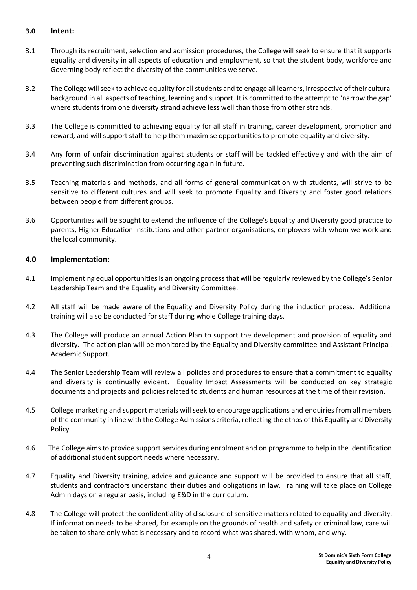#### **3.0 Intent:**

- 3.1 Through its recruitment, selection and admission procedures, the College will seek to ensure that it supports equality and diversity in all aspects of education and employment, so that the student body, workforce and Governing body reflect the diversity of the communities we serve.
- 3.2 The College will seek to achieve equality for all students and to engage all learners, irrespective of their cultural background in all aspects of teaching, learning and support. It is committed to the attempt to 'narrow the gap' where students from one diversity strand achieve less well than those from other strands.
- 3.3 The College is committed to achieving equality for all staff in training, career development, promotion and reward, and will support staff to help them maximise opportunities to promote equality and diversity.
- 3.4 Any form of unfair discrimination against students or staff will be tackled effectively and with the aim of preventing such discrimination from occurring again in future.
- 3.5 Teaching materials and methods, and all forms of general communication with students, will strive to be sensitive to different cultures and will seek to promote Equality and Diversity and foster good relations between people from different groups.
- 3.6 Opportunities will be sought to extend the influence of the College's Equality and Diversity good practice to parents, Higher Education institutions and other partner organisations, employers with whom we work and the local community.

#### **4.0 Implementation:**

- 4.1 Implementing equal opportunities is an ongoing process that will be regularly reviewed by the College's Senior Leadership Team and the Equality and Diversity Committee.
- 4.2 All staff will be made aware of the Equality and Diversity Policy during the induction process. Additional training will also be conducted for staff during whole College training days.
- 4.3 The College will produce an annual Action Plan to support the development and provision of equality and diversity. The action plan will be monitored by the Equality and Diversity committee and Assistant Principal: Academic Support.
- 4.4 The Senior Leadership Team will review all policies and procedures to ensure that a commitment to equality and diversity is continually evident. Equality Impact Assessments will be conducted on key strategic documents and projects and policies related to students and human resources at the time of their revision.
- 4.5 College marketing and support materials will seek to encourage applications and enquiries from all members of the community in line with the College Admissions criteria, reflecting the ethos of this Equality and Diversity Policy.
- 4.6 The College aims to provide support services during enrolment and on programme to help in the identification of additional student support needs where necessary.
- 4.7 Equality and Diversity training, advice and guidance and support will be provided to ensure that all staff, students and contractors understand their duties and obligations in law. Training will take place on College Admin days on a regular basis, including E&D in the curriculum.
- 4.8 The College will protect the confidentiality of disclosure of sensitive matters related to equality and diversity. If information needs to be shared, for example on the grounds of health and safety or criminal law, care will be taken to share only what is necessary and to record what was shared, with whom, and why.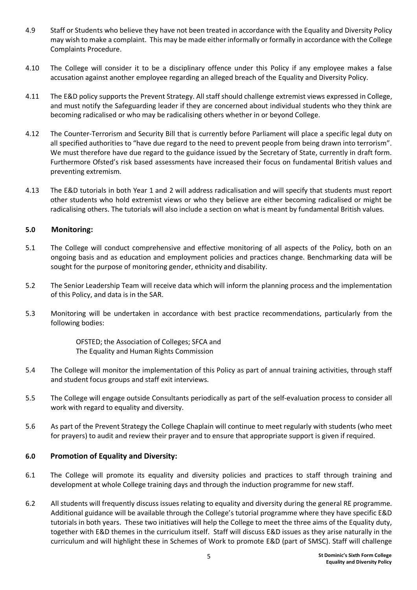- 4.9 Staff or Students who believe they have not been treated in accordance with the Equality and Diversity Policy may wish to make a complaint. This may be made either informally or formally in accordance with the College Complaints Procedure.
- 4.10 The College will consider it to be a disciplinary offence under this Policy if any employee makes a false accusation against another employee regarding an alleged breach of the Equality and Diversity Policy.
- 4.11 The E&D policy supports the Prevent Strategy. All staff should challenge extremist views expressed in College, and must notify the Safeguarding leader if they are concerned about individual students who they think are becoming radicalised or who may be radicalising others whether in or beyond College.
- 4.12 The Counter-Terrorism and Security Bill that is currently before Parliament will place a specific legal duty on all specified authorities to "have due regard to the need to prevent people from being drawn into terrorism". We must therefore have due regard to the guidance issued by the Secretary of State, currently in draft form. Furthermore Ofsted's risk based assessments have increased their focus on fundamental British values and preventing extremism.
- 4.13 The E&D tutorials in both Year 1 and 2 will address radicalisation and will specify that students must report other students who hold extremist views or who they believe are either becoming radicalised or might be radicalising others. The tutorials will also include a section on what is meant by fundamental British values.

#### **5.0 Monitoring:**

- 5.1 The College will conduct comprehensive and effective monitoring of all aspects of the Policy, both on an ongoing basis and as education and employment policies and practices change. Benchmarking data will be sought for the purpose of monitoring gender, ethnicity and disability.
- 5.2 The Senior Leadership Team will receive data which will inform the planning process and the implementation of this Policy, and data is in the SAR.
- 5.3 Monitoring will be undertaken in accordance with best practice recommendations, particularly from the following bodies:

OFSTED; the Association of Colleges; SFCA and The Equality and Human Rights Commission

- 5.4 The College will monitor the implementation of this Policy as part of annual training activities, through staff and student focus groups and staff exit interviews.
- 5.5 The College will engage outside Consultants periodically as part of the self-evaluation process to consider all work with regard to equality and diversity.
- 5.6 As part of the Prevent Strategy the College Chaplain will continue to meet regularly with students (who meet for prayers) to audit and review their prayer and to ensure that appropriate support is given if required.

#### **6.0 Promotion of Equality and Diversity:**

- 6.1 The College will promote its equality and diversity policies and practices to staff through training and development at whole College training days and through the induction programme for new staff.
- 6.2 All students will frequently discuss issues relating to equality and diversity during the general RE programme. Additional guidance will be available through the College's tutorial programme where they have specific E&D tutorials in both years. These two initiatives will help the College to meet the three aims of the Equality duty, together with E&D themes in the curriculum itself. Staff will discuss E&D issues as they arise naturally in the curriculum and will highlight these in Schemes of Work to promote E&D (part of SMSC). Staff will challenge